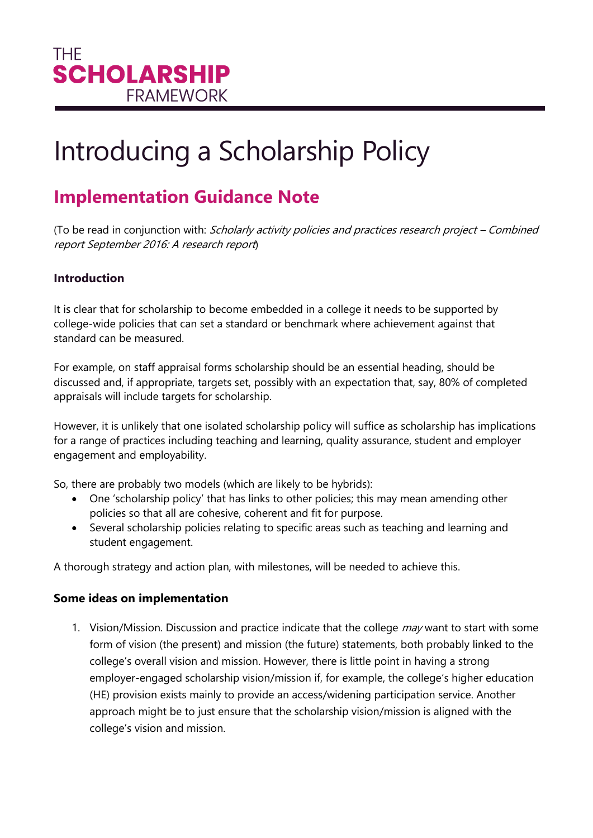# Introducing a Scholarship Policy

# **Implementation Guidance Note**

(To be read in conjunction with: Scholarly activity policies and practices research project – Combined report September 2016: A research report)

## **Introduction**

It is clear that for scholarship to become embedded in a college it needs to be supported by college-wide policies that can set a standard or benchmark where achievement against that standard can be measured.

For example, on staff appraisal forms scholarship should be an essential heading, should be discussed and, if appropriate, targets set, possibly with an expectation that, say, 80% of completed appraisals will include targets for scholarship.

However, it is unlikely that one isolated scholarship policy will suffice as scholarship has implications for a range of practices including teaching and learning, quality assurance, student and employer engagement and employability.

So, there are probably two models (which are likely to be hybrids):

- One 'scholarship policy' that has links to other policies; this may mean amending other policies so that all are cohesive, coherent and fit for purpose.
- Several scholarship policies relating to specific areas such as teaching and learning and student engagement.

A thorough strategy and action plan, with milestones, will be needed to achieve this.

### **Some ideas on implementation**

1. Vision/Mission. Discussion and practice indicate that the college *may* want to start with some form of vision (the present) and mission (the future) statements, both probably linked to the college's overall vision and mission. However, there is little point in having a strong employer-engaged scholarship vision/mission if, for example, the college's higher education (HE) provision exists mainly to provide an access/widening participation service. Another approach might be to just ensure that the scholarship vision/mission is aligned with the college's vision and mission.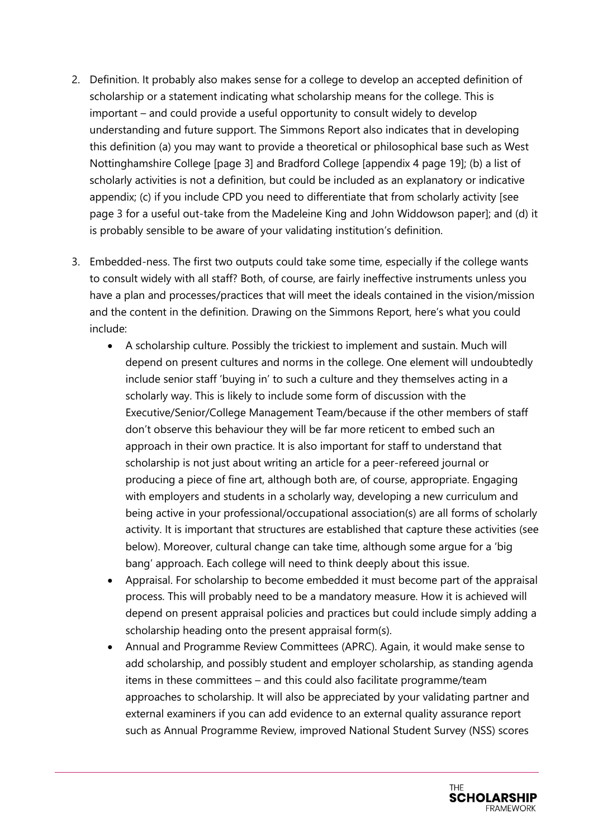- 2. Definition. It probably also makes sense for a college to develop an accepted definition of scholarship or a statement indicating what scholarship means for the college. This is important – and could provide a useful opportunity to consult widely to develop understanding and future support. The Simmons Report also indicates that in developing this definition (a) you may want to provide a theoretical or philosophical base such as West Nottinghamshire College [page 3] and Bradford College [appendix 4 page 19]; (b) a list of scholarly activities is not a definition, but could be included as an explanatory or indicative appendix; (c) if you include CPD you need to differentiate that from scholarly activity [see page 3 for a useful out-take from the Madeleine King and John Widdowson paper]; and (d) it is probably sensible to be aware of your validating institution's definition.
- 3. Embedded-ness. The first two outputs could take some time, especially if the college wants to consult widely with all staff? Both, of course, are fairly ineffective instruments unless you have a plan and processes/practices that will meet the ideals contained in the vision/mission and the content in the definition. Drawing on the Simmons Report, here's what you could include:
	- A scholarship culture. Possibly the trickiest to implement and sustain. Much will depend on present cultures and norms in the college. One element will undoubtedly include senior staff 'buying in' to such a culture and they themselves acting in a scholarly way. This is likely to include some form of discussion with the Executive/Senior/College Management Team/because if the other members of staff don't observe this behaviour they will be far more reticent to embed such an approach in their own practice. It is also important for staff to understand that scholarship is not just about writing an article for a peer-refereed journal or producing a piece of fine art, although both are, of course, appropriate. Engaging with employers and students in a scholarly way, developing a new curriculum and being active in your professional/occupational association(s) are all forms of scholarly activity. It is important that structures are established that capture these activities (see below). Moreover, cultural change can take time, although some argue for a 'big bang' approach. Each college will need to think deeply about this issue.
	- Appraisal. For scholarship to become embedded it must become part of the appraisal process. This will probably need to be a mandatory measure. How it is achieved will depend on present appraisal policies and practices but could include simply adding a scholarship heading onto the present appraisal form(s).
	- Annual and Programme Review Committees (APRC). Again, it would make sense to add scholarship, and possibly student and employer scholarship, as standing agenda items in these committees – and this could also facilitate programme/team approaches to scholarship. It will also be appreciated by your validating partner and external examiners if you can add evidence to an external quality assurance report such as Annual Programme Review, improved National Student Survey (NSS) scores

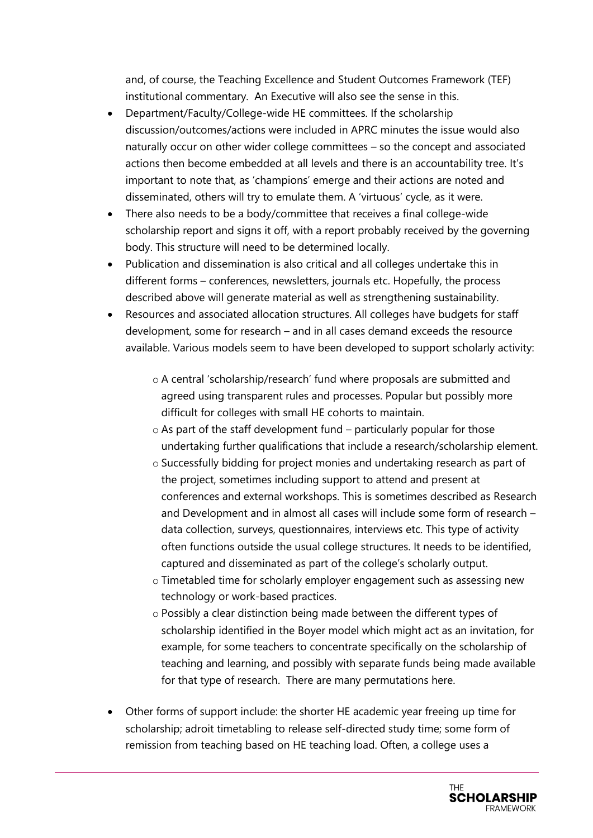and, of course, the Teaching Excellence and Student Outcomes Framework (TEF) institutional commentary. An Executive will also see the sense in this.

- Department/Faculty/College-wide HE committees. If the scholarship discussion/outcomes/actions were included in APRC minutes the issue would also naturally occur on other wider college committees – so the concept and associated actions then become embedded at all levels and there is an accountability tree. It's important to note that, as 'champions' emerge and their actions are noted and disseminated, others will try to emulate them. A 'virtuous' cycle, as it were.
- There also needs to be a body/committee that receives a final college-wide scholarship report and signs it off, with a report probably received by the governing body. This structure will need to be determined locally.
- Publication and dissemination is also critical and all colleges undertake this in different forms – conferences, newsletters, journals etc. Hopefully, the process described above will generate material as well as strengthening sustainability.
- Resources and associated allocation structures. All colleges have budgets for staff development, some for research – and in all cases demand exceeds the resource available. Various models seem to have been developed to support scholarly activity:
	- o A central 'scholarship/research' fund where proposals are submitted and agreed using transparent rules and processes. Popular but possibly more difficult for colleges with small HE cohorts to maintain.
	- o As part of the staff development fund particularly popular for those undertaking further qualifications that include a research/scholarship element.
	- o Successfully bidding for project monies and undertaking research as part of the project, sometimes including support to attend and present at conferences and external workshops. This is sometimes described as Research and Development and in almost all cases will include some form of research – data collection, surveys, questionnaires, interviews etc. This type of activity often functions outside the usual college structures. It needs to be identified, captured and disseminated as part of the college's scholarly output.
	- o Timetabled time for scholarly employer engagement such as assessing new technology or work-based practices.
	- o Possibly a clear distinction being made between the different types of scholarship identified in the Boyer model which might act as an invitation, for example, for some teachers to concentrate specifically on the scholarship of teaching and learning, and possibly with separate funds being made available for that type of research. There are many permutations here.
- Other forms of support include: the shorter HE academic year freeing up time for scholarship; adroit timetabling to release self-directed study time; some form of remission from teaching based on HE teaching load. Often, a college uses a

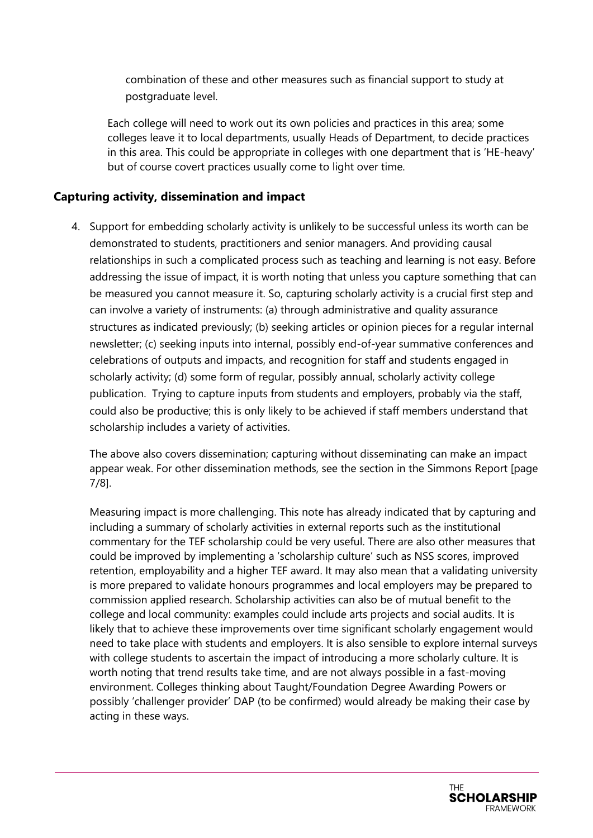combination of these and other measures such as financial support to study at postgraduate level.

Each college will need to work out its own policies and practices in this area; some colleges leave it to local departments, usually Heads of Department, to decide practices in this area. This could be appropriate in colleges with one department that is 'HE-heavy' but of course covert practices usually come to light over time.

#### **Capturing activity, dissemination and impact**

4. Support for embedding scholarly activity is unlikely to be successful unless its worth can be demonstrated to students, practitioners and senior managers. And providing causal relationships in such a complicated process such as teaching and learning is not easy. Before addressing the issue of impact, it is worth noting that unless you capture something that can be measured you cannot measure it. So, capturing scholarly activity is a crucial first step and can involve a variety of instruments: (a) through administrative and quality assurance structures as indicated previously; (b) seeking articles or opinion pieces for a regular internal newsletter; (c) seeking inputs into internal, possibly end-of-year summative conferences and celebrations of outputs and impacts, and recognition for staff and students engaged in scholarly activity; (d) some form of regular, possibly annual, scholarly activity college publication. Trying to capture inputs from students and employers, probably via the staff, could also be productive; this is only likely to be achieved if staff members understand that scholarship includes a variety of activities.

The above also covers dissemination; capturing without disseminating can make an impact appear weak. For other dissemination methods, see the section in the Simmons Report [page 7/8].

Measuring impact is more challenging. This note has already indicated that by capturing and including a summary of scholarly activities in external reports such as the institutional commentary for the TEF scholarship could be very useful. There are also other measures that could be improved by implementing a 'scholarship culture' such as NSS scores, improved retention, employability and a higher TEF award. It may also mean that a validating university is more prepared to validate honours programmes and local employers may be prepared to commission applied research. Scholarship activities can also be of mutual benefit to the college and local community: examples could include arts projects and social audits. It is likely that to achieve these improvements over time significant scholarly engagement would need to take place with students and employers. It is also sensible to explore internal surveys with college students to ascertain the impact of introducing a more scholarly culture. It is worth noting that trend results take time, and are not always possible in a fast-moving environment. Colleges thinking about Taught/Foundation Degree Awarding Powers or possibly 'challenger provider' DAP (to be confirmed) would already be making their case by acting in these ways.